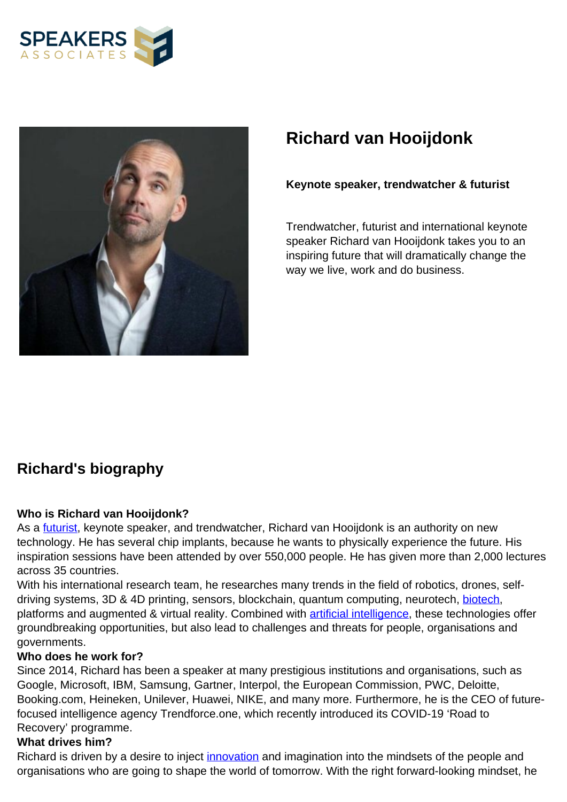



# **Richard van Hooijdonk**

**Keynote speaker, trendwatcher & futurist**

Trendwatcher, futurist and international keynote speaker Richard van Hooijdonk takes you to an inspiring future that will dramatically change the way we live, work and do business.

# **Richard's biography**

#### **Who is Richard van Hooijdonk?**

As a [futurist](https://www.speakersassociates.com/speakers/?_sft_notability_type=futurist), keynote speaker, and trendwatcher, Richard van Hooijdonk is an authority on new technology. He has several chip implants, because he wants to physically experience the future. His inspiration sessions have been attended by over 550,000 people. He has given more than 2,000 lectures across 35 countries.

With his international research team, he researches many trends in the field of robotics, drones, selfdriving systems, 3D & 4D printing, sensors, blockchain, quantum computing, neurotech, [biotech,](https://www.speakersassociates.com/speakers/?_sft_talent_themes=biotech) platforms and augmented & virtual reality. Combined with **artificial intelligence**, these technologies offer groundbreaking opportunities, but also lead to challenges and threats for people, organisations and governments.

#### **Who does he work for?**

Since 2014, Richard has been a speaker at many prestigious institutions and organisations, such as Google, Microsoft, IBM, Samsung, Gartner, Interpol, the European Commission, PWC, Deloitte, Booking.com, Heineken, Unilever, Huawei, NIKE, and many more. Furthermore, he is the CEO of futurefocused intelligence agency Trendforce.one, which recently introduced its COVID-19 'Road to Recovery' programme.

#### **What drives him?**

Richard is driven by a desire to inject [innovation](https://www.speakersassociates.com/speakers/?_sft_talent_themes=innovation) and imagination into the mindsets of the people and organisations who are going to shape the world of tomorrow. With the right forward-looking mindset, he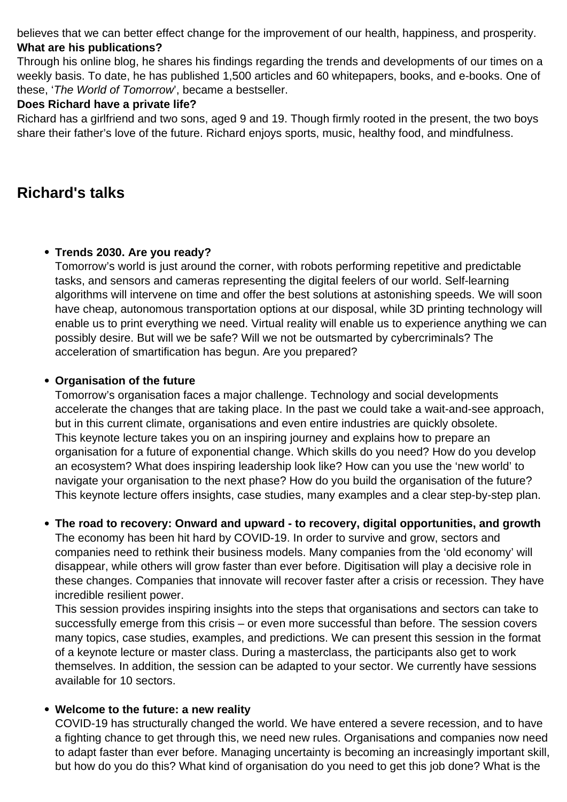believes that we can better effect change for the improvement of our health, happiness, and prosperity. **What are his publications?**

Through his online blog, he shares his findings regarding the trends and developments of our times on a weekly basis. To date, he has published 1,500 articles and 60 whitepapers, books, and e-books. One of these, 'The World of Tomorrow', became a bestseller.

# **Does Richard have a private life?**

Richard has a girlfriend and two sons, aged 9 and 19. Though firmly rooted in the present, the two boys share their father's love of the future. Richard enjoys sports, music, healthy food, and mindfulness.

# **Richard's talks**

# **Trends 2030. Are you ready?**

Tomorrow's world is just around the corner, with robots performing repetitive and predictable tasks, and sensors and cameras representing the digital feelers of our world. Self-learning algorithms will intervene on time and offer the best solutions at astonishing speeds. We will soon have cheap, autonomous transportation options at our disposal, while 3D printing technology will enable us to print everything we need. Virtual reality will enable us to experience anything we can possibly desire. But will we be safe? Will we not be outsmarted by cybercriminals? The acceleration of smartification has begun. Are you prepared?

# **Organisation of the future**

Tomorrow's organisation faces a major challenge. Technology and social developments accelerate the changes that are taking place. In the past we could take a wait-and-see approach, but in this current climate, organisations and even entire industries are quickly obsolete. This keynote lecture takes you on an inspiring journey and explains how to prepare an organisation for a future of exponential change. Which skills do you need? How do you develop an ecosystem? What does inspiring leadership look like? How can you use the 'new world' to navigate your organisation to the next phase? How do you build the organisation of the future? This keynote lecture offers insights, case studies, many examples and a clear step-by-step plan.

# **The road to recovery: Onward and upward - to recovery, digital opportunities, and growth**

The economy has been hit hard by COVID-19. In order to survive and grow, sectors and companies need to rethink their business models. Many companies from the 'old economy' will disappear, while others will grow faster than ever before. Digitisation will play a decisive role in these changes. Companies that innovate will recover faster after a crisis or recession. They have incredible resilient power.

This session provides inspiring insights into the steps that organisations and sectors can take to successfully emerge from this crisis – or even more successful than before. The session covers many topics, case studies, examples, and predictions. We can present this session in the format of a keynote lecture or master class. During a masterclass, the participants also get to work themselves. In addition, the session can be adapted to your sector. We currently have sessions available for 10 sectors.

# **Welcome to the future: a new reality**

COVID-19 has structurally changed the world. We have entered a severe recession, and to have a fighting chance to get through this, we need new rules. Organisations and companies now need to adapt faster than ever before. Managing uncertainty is becoming an increasingly important skill, but how do you do this? What kind of organisation do you need to get this job done? What is the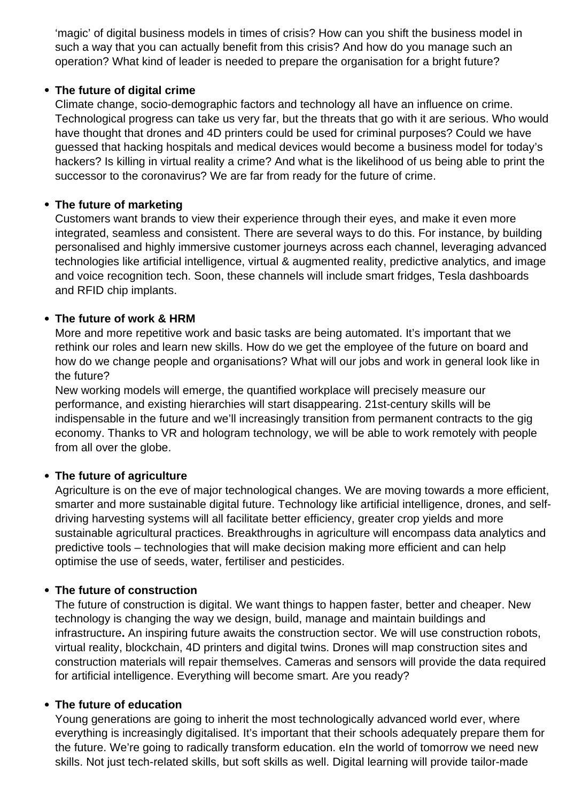'magic' of digital business models in times of crisis? How can you shift the business model in such a way that you can actually benefit from this crisis? And how do you manage such an operation? What kind of leader is needed to prepare the organisation for a bright future?

#### **The future of digital crime**

Climate change, socio-demographic factors and technology all have an influence on crime. Technological progress can take us very far, but the threats that go with it are serious. Who would have thought that drones and 4D printers could be used for criminal purposes? Could we have guessed that hacking hospitals and medical devices would become a business model for today's hackers? Is killing in virtual reality a crime? And what is the likelihood of us being able to print the successor to the coronavirus? We are far from ready for the future of crime.

# **The future of marketing**

Customers want brands to view their experience through their eyes, and make it even more integrated, seamless and consistent. There are several ways to do this. For instance, by building personalised and highly immersive customer journeys across each channel, leveraging advanced technologies like artificial intelligence, virtual & augmented reality, predictive analytics, and image and voice recognition tech. Soon, these channels will include smart fridges, Tesla dashboards and RFID chip implants.

#### **The future of work & HRM**

More and more repetitive work and basic tasks are being automated. It's important that we rethink our roles and learn new skills. How do we get the employee of the future on board and how do we change people and organisations? What will our jobs and work in general look like in the future?

New working models will emerge, the quantified workplace will precisely measure our performance, and existing hierarchies will start disappearing. 21st-century skills will be indispensable in the future and we'll increasingly transition from permanent contracts to the gig economy. Thanks to VR and hologram technology, we will be able to work remotely with people from all over the globe.

# **The future of agriculture**

Agriculture is on the eve of major technological changes. We are moving towards a more efficient, smarter and more sustainable digital future. Technology like artificial intelligence, drones, and selfdriving harvesting systems will all facilitate better efficiency, greater crop yields and more sustainable agricultural practices. Breakthroughs in agriculture will encompass data analytics and predictive tools – technologies that will make decision making more efficient and can help optimise the use of seeds, water, fertiliser and pesticides.

# **The future of construction**

The future of construction is digital. We want things to happen faster, better and cheaper. New technology is changing the way we design, build, manage and maintain buildings and infrastructure**.** An inspiring future awaits the construction sector. We will use construction robots, virtual reality, blockchain, 4D printers and digital twins. Drones will map construction sites and construction materials will repair themselves. Cameras and sensors will provide the data required for artificial intelligence. Everything will become smart. Are you ready?

#### **The future of education**

Young generations are going to inherit the most technologically advanced world ever, where everything is increasingly digitalised. It's important that their schools adequately prepare them for the future. We're going to radically transform education. eIn the world of tomorrow we need new skills. Not just tech-related skills, but soft skills as well. Digital learning will provide tailor-made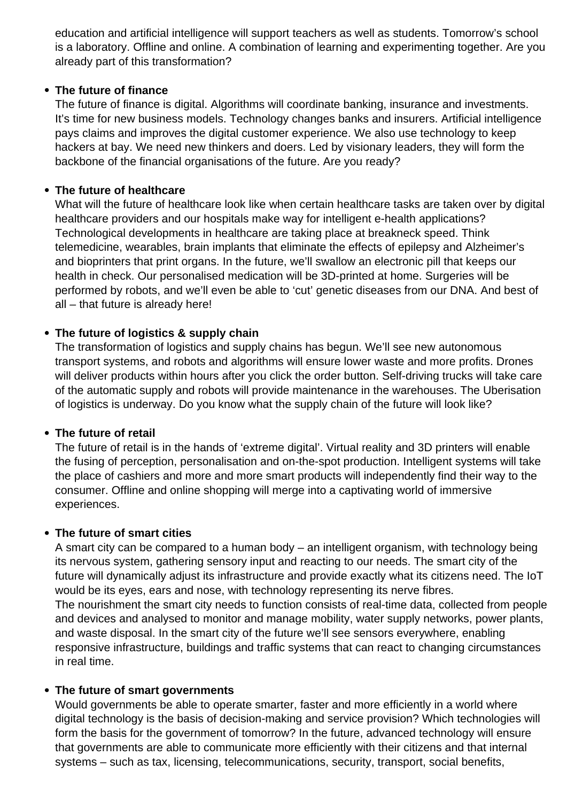education and artificial intelligence will support teachers as well as students. Tomorrow's school is a laboratory. Offline and online. A combination of learning and experimenting together. Are you already part of this transformation?

#### **The future of finance**

The future of finance is digital. Algorithms will coordinate banking, insurance and investments. It's time for new business models. Technology changes banks and insurers. Artificial intelligence pays claims and improves the digital customer experience. We also use technology to keep hackers at bay. We need new thinkers and doers. Led by visionary leaders, they will form the backbone of the financial organisations of the future. Are you ready?

#### **The future of healthcare**

What will the future of healthcare look like when certain healthcare tasks are taken over by digital healthcare providers and our hospitals make way for intelligent e-health applications? Technological developments in healthcare are taking place at breakneck speed. Think telemedicine, wearables, brain implants that eliminate the effects of epilepsy and Alzheimer's and bioprinters that print organs. In the future, we'll swallow an electronic pill that keeps our health in check. Our personalised medication will be 3D-printed at home. Surgeries will be performed by robots, and we'll even be able to 'cut' genetic diseases from our DNA. And best of all – that future is already here!

# **The future of logistics & supply chain**

The transformation of logistics and supply chains has begun. We'll see new autonomous transport systems, and robots and algorithms will ensure lower waste and more profits. Drones will deliver products within hours after you click the order button. Self-driving trucks will take care of the automatic supply and robots will provide maintenance in the warehouses. The Uberisation of logistics is underway. Do you know what the supply chain of the future will look like?

# **The future of retail**

The future of retail is in the hands of 'extreme digital'. Virtual reality and 3D printers will enable the fusing of perception, personalisation and on-the-spot production. Intelligent systems will take the place of cashiers and more and more smart products will independently find their way to the consumer. Offline and online shopping will merge into a captivating world of immersive experiences.

# **The future of smart cities**

A smart city can be compared to a human body – an intelligent organism, with technology being its nervous system, gathering sensory input and reacting to our needs. The smart city of the future will dynamically adjust its infrastructure and provide exactly what its citizens need. The IoT would be its eyes, ears and nose, with technology representing its nerve fibres. The nourishment the smart city needs to function consists of real-time data, collected from people and devices and analysed to monitor and manage mobility, water supply networks, power plants, and waste disposal. In the smart city of the future we'll see sensors everywhere, enabling responsive infrastructure, buildings and traffic systems that can react to changing circumstances in real time.

# **The future of smart governments**

Would governments be able to operate smarter, faster and more efficiently in a world where digital technology is the basis of decision-making and service provision? Which technologies will form the basis for the government of tomorrow? In the future, advanced technology will ensure that governments are able to communicate more efficiently with their citizens and that internal systems – such as tax, licensing, telecommunications, security, transport, social benefits,